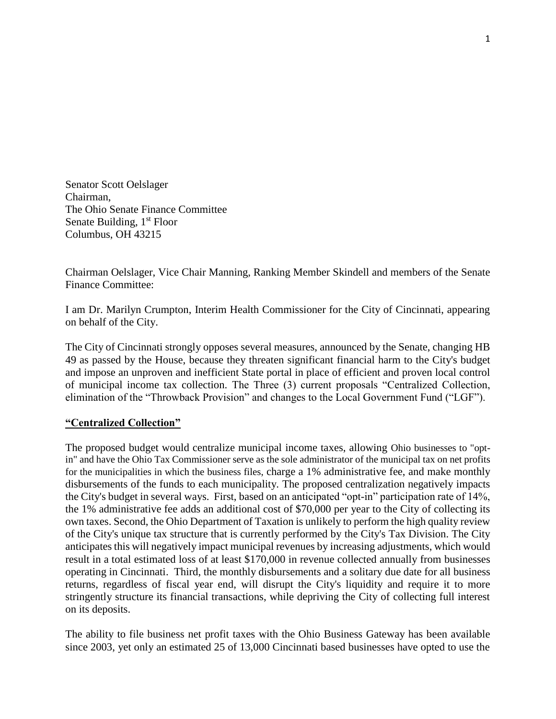Senator Scott Oelslager Chairman, The Ohio Senate Finance Committee Senate Building, 1<sup>st</sup> Floor Columbus, OH 43215

Chairman Oelslager, Vice Chair Manning, Ranking Member Skindell and members of the Senate Finance Committee:

I am Dr. Marilyn Crumpton, Interim Health Commissioner for the City of Cincinnati, appearing on behalf of the City.

The City of Cincinnati strongly opposes several measures, announced by the Senate, changing HB 49 as passed by the House, because they threaten significant financial harm to the City's budget and impose an unproven and inefficient State portal in place of efficient and proven local control of municipal income tax collection. The Three (3) current proposals "Centralized Collection, elimination of the "Throwback Provision" and changes to the Local Government Fund ("LGF").

## **"Centralized Collection"**

The proposed budget would centralize municipal income taxes, allowing Ohio businesses to "optin" and have the Ohio Tax Commissioner serve as the sole administrator of the municipal tax on net profits for the municipalities in which the business files, charge a 1% administrative fee, and make monthly disbursements of the funds to each municipality. The proposed centralization negatively impacts the City's budget in several ways. First, based on an anticipated "opt-in" participation rate of 14%, the 1% administrative fee adds an additional cost of \$70,000 per year to the City of collecting its own taxes. Second, the Ohio Department of Taxation is unlikely to perform the high quality review of the City's unique tax structure that is currently performed by the City's Tax Division. The City anticipates this will negatively impact municipal revenues by increasing adjustments, which would result in a total estimated loss of at least \$170,000 in revenue collected annually from businesses operating in Cincinnati. Third, the monthly disbursements and a solitary due date for all business returns, regardless of fiscal year end, will disrupt the City's liquidity and require it to more stringently structure its financial transactions, while depriving the City of collecting full interest on its deposits.

The ability to file business net profit taxes with the Ohio Business Gateway has been available since 2003, yet only an estimated 25 of 13,000 Cincinnati based businesses have opted to use the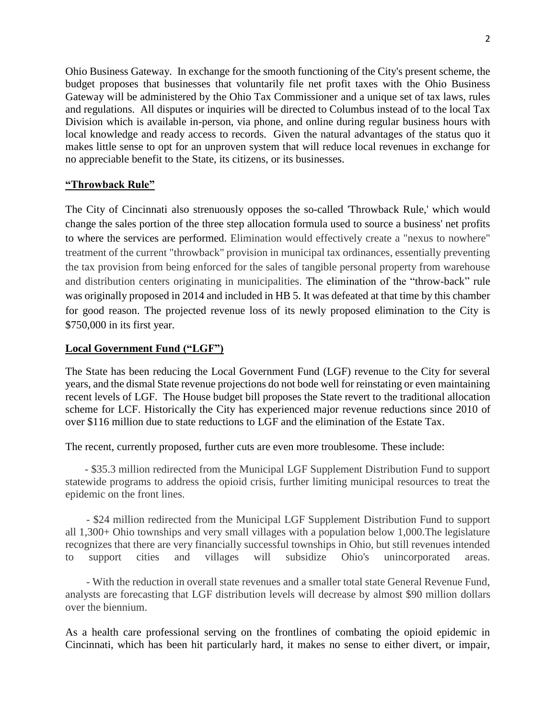Ohio Business Gateway. In exchange for the smooth functioning of the City's present scheme, the budget proposes that businesses that voluntarily file net profit taxes with the Ohio Business Gateway will be administered by the Ohio Tax Commissioner and a unique set of tax laws, rules and regulations. All disputes or inquiries will be directed to Columbus instead of to the local Tax Division which is available in-person, via phone, and online during regular business hours with local knowledge and ready access to records. Given the natural advantages of the status quo it makes little sense to opt for an unproven system that will reduce local revenues in exchange for no appreciable benefit to the State, its citizens, or its businesses.

## **"Throwback Rule"**

The City of Cincinnati also strenuously opposes the so-called 'Throwback Rule,' which would change the sales portion of the three step allocation formula used to source a business' net profits to where the services are performed. Elimination would effectively create a "nexus to nowhere" treatment of the current "throwback" provision in municipal tax ordinances, essentially preventing the tax provision from being enforced for the sales of tangible personal property from warehouse and distribution centers originating in municipalities. The elimination of the "throw-back" rule was originally proposed in 2014 and included in HB 5. It was defeated at that time by this chamber for good reason. The projected revenue loss of its newly proposed elimination to the City is \$750,000 in its first year.

## **Local Government Fund ("LGF")**

The State has been reducing the Local Government Fund (LGF) revenue to the City for several years, and the dismal State revenue projections do not bode well for reinstating or even maintaining recent levels of LGF. The House budget bill proposes the State revert to the traditional allocation scheme for LCF. Historically the City has experienced major revenue reductions since 2010 of over \$116 million due to state reductions to LGF and the elimination of the Estate Tax.

The recent, currently proposed, further cuts are even more troublesome. These include:

- \$35.3 million redirected from the Municipal LGF Supplement Distribution Fund to support statewide programs to address the opioid crisis, further limiting municipal resources to treat the epidemic on the front lines.

- \$24 million redirected from the Municipal LGF Supplement Distribution Fund to support all 1,300+ Ohio townships and very small villages with a population below 1,000.The legislature recognizes that there are very financially successful townships in Ohio, but still revenues intended to support cities and villages will subsidize Ohio's unincorporated areas.

- With the reduction in overall state revenues and a smaller total state General Revenue Fund, analysts are forecasting that LGF distribution levels will decrease by almost \$90 million dollars over the biennium.

As a health care professional serving on the frontlines of combating the opioid epidemic in Cincinnati, which has been hit particularly hard, it makes no sense to either divert, or impair,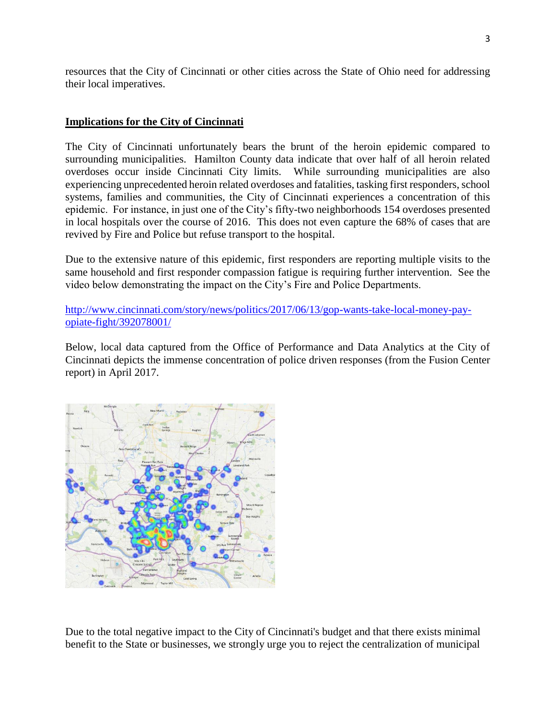resources that the City of Cincinnati or other cities across the State of Ohio need for addressing their local imperatives.

## **Implications for the City of Cincinnati**

The City of Cincinnati unfortunately bears the brunt of the heroin epidemic compared to surrounding municipalities. Hamilton County data indicate that over half of all heroin related overdoses occur inside Cincinnati City limits. While surrounding municipalities are also experiencing unprecedented heroin related overdoses and fatalities, tasking first responders, school systems, families and communities, the City of Cincinnati experiences a concentration of this epidemic. For instance, in just one of the City's fifty-two neighborhoods 154 overdoses presented in local hospitals over the course of 2016. This does not even capture the 68% of cases that are revived by Fire and Police but refuse transport to the hospital.

Due to the extensive nature of this epidemic, first responders are reporting multiple visits to the same household and first responder compassion fatigue is requiring further intervention. See the video below demonstrating the impact on the City's Fire and Police Departments.

[http://www.cincinnati.com/story/news/politics/2017/06/13/gop-wants-take-local-money-pay](http://www.cincinnati.com/story/news/politics/2017/06/13/gop-wants-take-local-money-pay-opiate-fight/392078001/)[opiate-fight/392078001/](http://www.cincinnati.com/story/news/politics/2017/06/13/gop-wants-take-local-money-pay-opiate-fight/392078001/)

Below, local data captured from the Office of Performance and Data Analytics at the City of Cincinnati depicts the immense concentration of police driven responses (from the Fusion Center report) in April 2017.



Due to the total negative impact to the City of Cincinnati's budget and that there exists minimal benefit to the State or businesses, we strongly urge you to reject the centralization of municipal